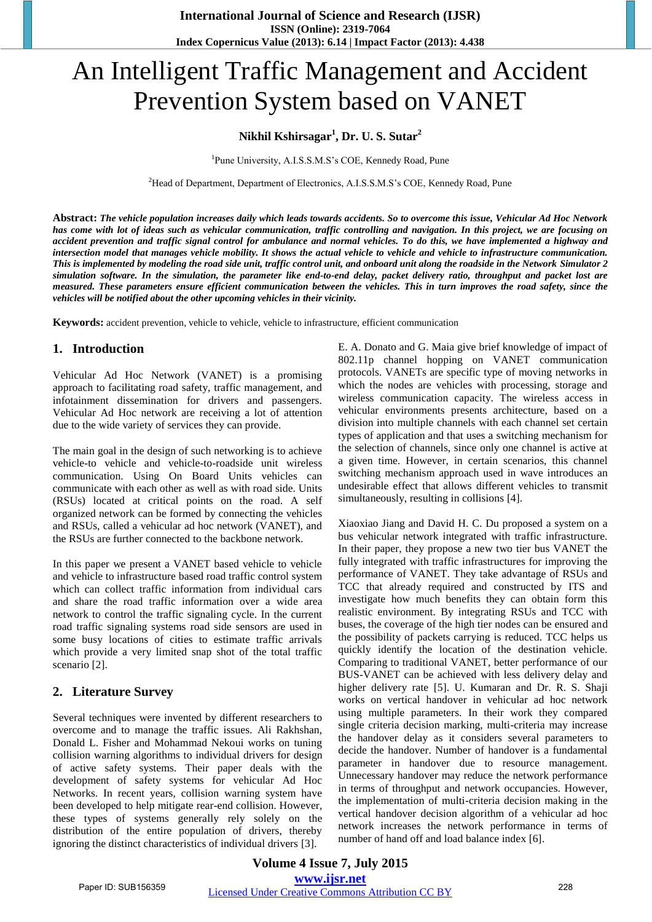# An Intelligent Traffic Management and Accident Prevention System based on VANET

## **Nikhil Kshirsagar<sup>1</sup> , Dr. U. S. Sutar<sup>2</sup>**

<sup>1</sup>Pune University, A.I.S.S.M.S's COE, Kennedy Road, Pune

<sup>2</sup>Head of Department, Department of Electronics, A.I.S.S.M.S's COE, Kennedy Road, Pune

**Abstract:** *The vehicle population increases daily which leads towards accidents. So to overcome this issue, Vehicular Ad Hoc Network has come with lot of ideas such as vehicular communication, traffic controlling and navigation. In this project, we are focusing on accident prevention and traffic signal control for ambulance and normal vehicles. To do this, we have implemented a highway and intersection model that manages vehicle mobility. It shows the actual vehicle to vehicle and vehicle to infrastructure communication. This is implemented by modeling the road side unit, traffic control unit, and onboard unit along the roadside in the Network Simulator 2 simulation software. In the simulation, the parameter like end-to-end delay, packet delivery ratio, throughput and packet lost are measured. These parameters ensure efficient communication between the vehicles. This in turn improves the road safety, since the vehicles will be notified about the other upcoming vehicles in their vicinity.* 

**Keywords:** accident prevention, vehicle to vehicle, vehicle to infrastructure, efficient communication

## **1. Introduction**

Vehicular Ad Hoc Network (VANET) is a promising approach to facilitating road safety, traffic management, and infotainment dissemination for drivers and passengers. Vehicular Ad Hoc network are receiving a lot of attention due to the wide variety of services they can provide.

The main goal in the design of such networking is to achieve vehicle-to vehicle and vehicle-to-roadside unit wireless communication. Using On Board Units vehicles can communicate with each other as well as with road side. Units (RSUs) located at critical points on the road. A self organized network can be formed by connecting the vehicles and RSUs, called a vehicular ad hoc network (VANET), and the RSUs are further connected to the backbone network.

In this paper we present a VANET based vehicle to vehicle and vehicle to infrastructure based road traffic control system which can collect traffic information from individual cars and share the road traffic information over a wide area network to control the traffic signaling cycle. In the current road traffic signaling systems road side sensors are used in some busy locations of cities to estimate traffic arrivals which provide a very limited snap shot of the total traffic scenario [2].

# **2. Literature Survey**

Several techniques were invented by different researchers to overcome and to manage the traffic issues. Ali Rakhshan, Donald L. Fisher and Mohammad Nekoui works on tuning collision warning algorithms to individual drivers for design of active safety systems. Their paper deals with the development of safety systems for vehicular Ad Hoc Networks. In recent years, collision warning system have been developed to help mitigate rear-end collision. However, these types of systems generally rely solely on the distribution of the entire population of drivers, thereby ignoring the distinct characteristics of individual drivers [3].

E. A. Donato and G. Maia give brief knowledge of impact of 802.11p channel hopping on VANET communication protocols. VANETs are specific type of moving networks in which the nodes are vehicles with processing, storage and wireless communication capacity. The wireless access in vehicular environments presents architecture, based on a division into multiple channels with each channel set certain types of application and that uses a switching mechanism for the selection of channels, since only one channel is active at a given time. However, in certain scenarios, this channel switching mechanism approach used in wave introduces an undesirable effect that allows different vehicles to transmit simultaneously, resulting in collisions [4].

Xiaoxiao Jiang and David H. C. Du proposed a system on a bus vehicular network integrated with traffic infrastructure. In their paper, they propose a new two tier bus VANET the fully integrated with traffic infrastructures for improving the performance of VANET. They take advantage of RSUs and TCC that already required and constructed by ITS and investigate how much benefits they can obtain form this realistic environment. By integrating RSUs and TCC with buses, the coverage of the high tier nodes can be ensured and the possibility of packets carrying is reduced. TCC helps us quickly identify the location of the destination vehicle. Comparing to traditional VANET, better performance of our BUS-VANET can be achieved with less delivery delay and higher delivery rate [5]. U. Kumaran and Dr. R. S. Shaji works on vertical handover in vehicular ad hoc network using multiple parameters. In their work they compared single criteria decision marking, multi-criteria may increase the handover delay as it considers several parameters to decide the handover. Number of handover is a fundamental parameter in handover due to resource management. Unnecessary handover may reduce the network performance in terms of throughput and network occupancies. However, the implementation of multi-criteria decision making in the vertical handover decision algorithm of a vehicular ad hoc network increases the network performance in terms of number of hand off and load balance index [6].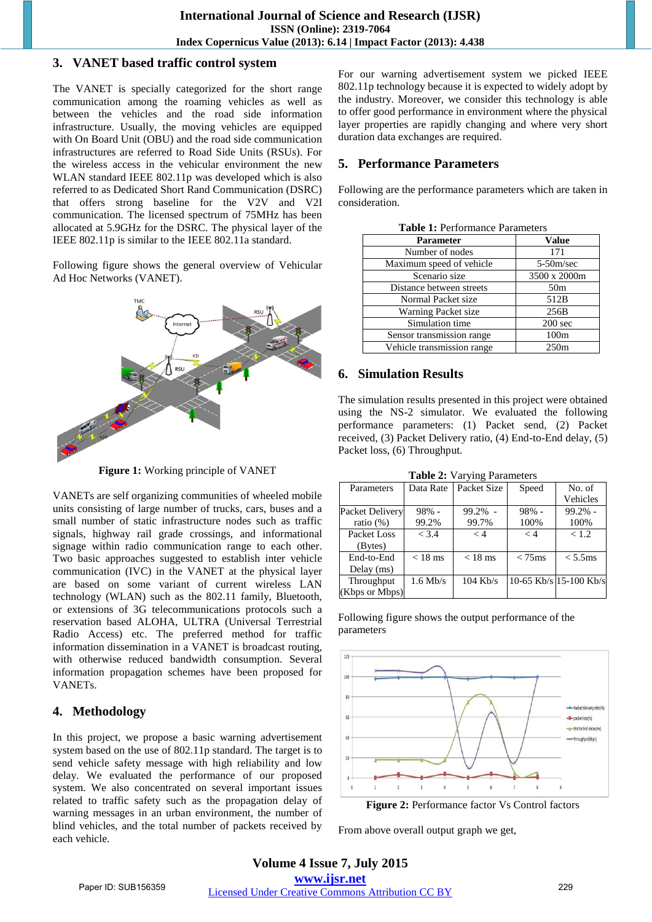## **3. VANET based traffic control system**

The VANET is specially categorized for the short range communication among the roaming vehicles as well as between the vehicles and the road side information infrastructure. Usually, the moving vehicles are equipped with On Board Unit (OBU) and the road side communication infrastructures are referred to Road Side Units (RSUs). For the wireless access in the vehicular environment the new WLAN standard IEEE 802.11p was developed which is also referred to as Dedicated Short Rand Communication (DSRC) that offers strong baseline for the V2V and V2I communication. The licensed spectrum of 75MHz has been allocated at 5.9GHz for the DSRC. The physical layer of the IEEE 802.11p is similar to the IEEE 802.11a standard.

Following figure shows the general overview of Vehicular Ad Hoc Networks (VANET).



**Figure 1:** Working principle of VANET

VANETs are self organizing communities of wheeled mobile units consisting of large number of trucks, cars, buses and a small number of static infrastructure nodes such as traffic signals, highway rail grade crossings, and informational signage within radio communication range to each other. Two basic approaches suggested to establish inter vehicle communication (IVC) in the VANET at the physical layer are based on some variant of current wireless LAN technology (WLAN) such as the 802.11 family, Bluetooth, or extensions of 3G telecommunications protocols such a reservation based ALOHA, ULTRA (Universal Terrestrial Radio Access) etc. The preferred method for traffic information dissemination in a VANET is broadcast routing, with otherwise reduced bandwidth consumption. Several information propagation schemes have been proposed for VANETs.

# **4. Methodology**

In this project, we propose a basic warning advertisement system based on the use of 802.11p standard. The target is to send vehicle safety message with high reliability and low delay. We evaluated the performance of our proposed system. We also concentrated on several important issues related to traffic safety such as the propagation delay of warning messages in an urban environment, the number of blind vehicles, and the total number of packets received by each vehicle.

For our warning advertisement system we picked IEEE 802.11p technology because it is expected to widely adopt by the industry. Moreover, we consider this technology is able to offer good performance in environment where the physical layer properties are rapidly changing and where very short duration data exchanges are required.

# **5. Performance Parameters**

Following are the performance parameters which are taken in consideration.

| <b>Table 1:</b> Performance Parameters |                   |  |  |  |
|----------------------------------------|-------------------|--|--|--|
| Parameter                              | <b>Value</b>      |  |  |  |
| Number of nodes                        | 171               |  |  |  |
| Maximum speed of vehicle               | $5-50m/sec$       |  |  |  |
| Scenario size                          | 3500 x 2000m      |  |  |  |
| Distance between streets               | 50 <sub>m</sub>   |  |  |  |
| Normal Packet size                     | 512B              |  |  |  |
| Warning Packet size                    | 256B              |  |  |  |
| Simulation time                        | $200 \text{ sec}$ |  |  |  |
| Sensor transmission range              | 100 <sub>m</sub>  |  |  |  |
| Vehicle transmission range             | 250m              |  |  |  |

#### **Table 1:** Performance Parameters

# **6. Simulation Results**

The simulation results presented in this project were obtained using the NS-2 simulator. We evaluated the following performance parameters: (1) Packet send, (2) Packet received, (3) Packet Delivery ratio, (4) End-to-End delay, (5) Packet loss, (6) Throughput.

**Table 2:** Varying Parameters

|                 |            | $= 1.0015$ $= 1.001$ $= 1.001$ $= 1.001$ $= 1.001$ |           |                        |
|-----------------|------------|----------------------------------------------------|-----------|------------------------|
| Parameters      | Data Rate  | Packet Size                                        | Speed     | No. of                 |
|                 |            |                                                    |           | Vehicles               |
| Packet Delivery | $98% -$    | $99.2\%$ -                                         | $98% -$   | $99.2%$ -              |
| ratio $(\%)$    | 99.2%      | 99.7%                                              | 100%      | 100%                   |
| Packet Loss     | < 3.4      | < 4                                                | $\lt 4$   | < 1.2                  |
| (Bytes)         |            |                                                    |           |                        |
| End-to-End      | $< 18$ ms  | $< 18$ ms                                          | $< 75$ ms | $< 5.5$ ms             |
| Delay $(ms)$    |            |                                                    |           |                        |
| Throughput      | $1.6$ Mb/s | $104$ Kb/s                                         |           | 10-65 Kb/s 15-100 Kb/s |
| (Kbps or Mbps)  |            |                                                    |           |                        |

Following figure shows the output performance of the parameters



**Figure 2:** Performance factor Vs Control factors

From above overall output graph we get,